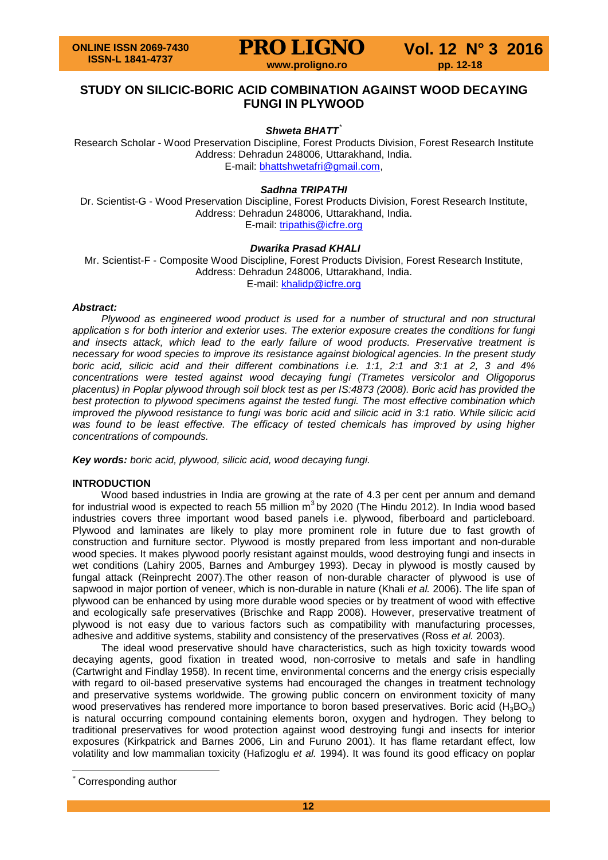

## **STUDY ON SILICIC-BORIC ACID COMBINATION AGAINST WOOD DECAYING FUNGI IN PLYWOOD**

### Shweta BHATT<sup>[\\*](#page-0-0)</sup>

Research Scholar - Wood Preservation Discipline, Forest Products Division, Forest Research Institute Address: Dehradun 248006, Uttarakhand, India. E-mail: [bhattshwetafri@gmail.com,](mailto:bhattshwetafri@gmail.com)

### *Sadhna TRIPATHI*

Dr. Scientist-G - Wood Preservation Discipline, Forest Products Division, Forest Research Institute, Address: Dehradun 248006, Uttarakhand, India. E-mail: [tripathis@icfre.org](mailto:tripathis@icfre.org)

#### *Dwarika Prasad KHALI*

Mr. Scientist-F - Composite Wood Discipline, Forest Products Division, Forest Research Institute, Address: Dehradun 248006, Uttarakhand, India. E-mail: [khalidp@icfre.org](mailto:khalidp@icfre.org)

#### *Abstract:*

*Plywood as engineered wood product is used for a number of structural and non structural application s for both interior and exterior uses. The exterior exposure creates the conditions for fungi and insects attack, which lead to the early failure of wood products. Preservative treatment is necessary for wood species to improve its resistance against biological agencies. In the present study boric acid, silicic acid and their different combinations i.e. 1:1, 2:1 and 3:1 at 2, 3 and 4% concentrations were tested against wood decaying fungi (Trametes versicolor and Oligoporus placentus) in Poplar plywood through soil block test as per IS:4873 (2008). Boric acid has provided the best protection to plywood specimens against the tested fungi. The most effective combination which improved the plywood resistance to fungi was boric acid and silicic acid in 3:1 ratio. While silicic acid*  was found to be least effective. The efficacy of tested chemicals has improved by using higher *concentrations of compounds.*

*Key words: boric acid, plywood, silicic acid, wood decaying fungi.*

#### **INTRODUCTION**

Wood based industries in India are growing at the rate of 4.3 per cent per annum and demand for industrial wood is expected to reach 55 million  $m^3$  by 2020 (The Hindu 2012). In India wood based industries covers three important wood based panels i.e. plywood, fiberboard and particleboard. Plywood and laminates are likely to play more prominent role in future due to fast growth of construction and furniture sector. Plywood is mostly prepared from less important and non-durable wood species. It makes plywood poorly resistant against moulds, wood destroying fungi and insects in wet conditions (Lahiry 2005, Barnes and Amburgey 1993). Decay in plywood is mostly caused by fungal attack (Reinprecht 2007).The other reason of non-durable character of plywood is use of sapwood in major portion of veneer, which is non-durable in nature (Khali *et al.* 2006). The life span of plywood can be enhanced by using more durable wood species or by treatment of wood with effective and ecologically safe preservatives (Brischke and Rapp 2008). However, preservative treatment of plywood is not easy due to various factors such as compatibility with manufacturing processes, adhesive and additive systems, stability and consistency of the preservatives (Ross *et al.* 2003).

The ideal wood preservative should have characteristics, such as high toxicity towards wood decaying agents, good fixation in treated wood, non-corrosive to metals and safe in handling (Cartwright and Findlay 1958). In recent time, environmental concerns and the energy crisis especially with regard to oil-based preservative systems had encouraged the changes in treatment technology and preservative systems worldwide. The growing public concern on environment toxicity of many wood preservatives has rendered more importance to boron based preservatives. Boric acid  $(H_3BO_3)$ is natural occurring compound containing elements boron, oxygen and hydrogen. They belong to traditional preservatives for wood protection against wood destroying fungi and insects for interior exposures (Kirkpatrick and Barnes 2006, Lin and Furuno 2001). It has flame retardant effect, low volatility and low mammalian toxicity (Hafizoglu *et al.* 1994). It was found its good efficacy on poplar

<span id="page-0-0"></span>Corresponding author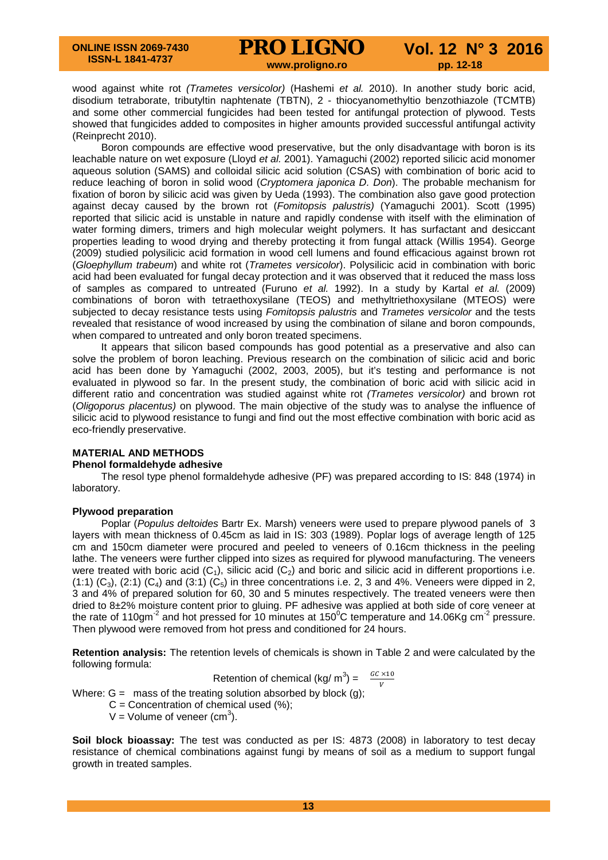wood against white rot *(Trametes versicolor)* (Hashemi *et al.* 2010). In another study boric acid, disodium tetraborate, tributyltin naphtenate (TBTN), 2 - thiocyanomethyltio benzothiazole (TCMTB) and some other commercial fungicides had been tested for antifungal protection of plywood. Tests showed that fungicides added to composites in higher amounts provided successful antifungal activity (Reinprecht 2010).

Boron compounds are effective wood preservative, but the only disadvantage with boron is its leachable nature on wet exposure (Lloyd *et al.* 2001). Yamaguchi (2002) reported silicic acid monomer aqueous solution (SAMS) and colloidal silicic acid solution (CSAS) with combination of boric acid to reduce leaching of boron in solid wood (*Cryptomera japonica D. Don*). The probable mechanism for fixation of boron by silicic acid was given by Ueda (1993). The combination also gave good protection against decay caused by the brown rot (*Fomitopsis palustris)* (Yamaguchi 2001). Scott (1995) reported that silicic acid is unstable in nature and rapidly condense with itself with the elimination of water forming dimers, trimers and high molecular weight polymers. It has surfactant and desiccant properties leading to wood drying and thereby protecting it from fungal attack (Willis 1954). George (2009) studied polysilicic acid formation in wood cell lumens and found efficacious against brown rot (*Gloephyllum trabeum*) and white rot (*Trametes versicolor*). Polysilicic acid in combination with boric acid had been evaluated for fungal decay protection and it was observed that it reduced the mass loss of samples as compared to untreated (Furuno *et al.* 1992). In a study by Kartal *et al.* (2009) combinations of boron with tetraethoxysilane (TEOS) and methyltriethoxysilane (MTEOS) were subjected to decay resistance tests using *Fomitopsis palustris* and *Trametes versicolor* and the tests revealed that resistance of wood increased by using the combination of silane and boron compounds, when compared to untreated and only boron treated specimens.

It appears that silicon based compounds has good potential as a preservative and also can solve the problem of boron leaching. Previous research on the combination of silicic acid and boric acid has been done by Yamaguchi (2002, 2003, 2005), but it's testing and performance is not evaluated in plywood so far. In the present study, the combination of boric acid with silicic acid in different ratio and concentration was studied against white rot *(Trametes versicolor)* and brown rot (*Oligoporus placentus)* on plywood. The main objective of the study was to analyse the influence of silicic acid to plywood resistance to fungi and find out the most effective combination with boric acid as eco-friendly preservative.

# **MATERIAL AND METHODS**

### **Phenol formaldehyde adhesive**

The resol type phenol formaldehyde adhesive (PF) was prepared according to IS: 848 (1974) in laboratory.

#### **Plywood preparation**

Poplar (*Populus deltoides* Bartr Ex. Marsh) veneers were used to prepare plywood panels of 3 layers with mean thickness of 0.45cm as laid in IS: 303 (1989). Poplar logs of average length of 125 cm and 150cm diameter were procured and peeled to veneers of 0.16cm thickness in the peeling lathe. The veneers were further clipped into sizes as required for plywood manufacturing. The veneers were treated with boric acid  $(C_1)$ , silicic acid  $(C_2)$  and boric and silicic acid in different proportions i.e. (1:1)  $(C_3)$ , (2:1)  $(C_4)$  and (3:1)  $(C_5)$  in three concentrations i.e. 2, 3 and 4%. Veneers were dipped in 2, 3 and 4% of prepared solution for 60, 30 and 5 minutes respectively. The treated veneers were then dried to 8±2% moisture content prior to gluing. PF adhesive was applied at both side of core veneer at the rate of 110gm<sup>-2</sup> and hot pressed for 10 minutes at 150<sup>°</sup>C temperature and 14.06Kg cm<sup>-2</sup> pressure. Then plywood were removed from hot press and conditioned for 24 hours.

**Retention analysis:** The retention levels of chemicals is shown in Table 2 and were calculated by the following formula:

$$
Retention of chemical (kg/m3) = \frac{GC \times 10}{V}
$$

Where:  $G =$  mass of the treating solution absorbed by block (g);

 $C =$  Concentration of chemical used  $(\%)$ ;

 $V =$  Volume of veneer (cm<sup>3</sup>).

**Soil block bioassay:** The test was conducted as per IS: 4873 (2008) in laboratory to test decay resistance of chemical combinations against fungi by means of soil as a medium to support fungal growth in treated samples.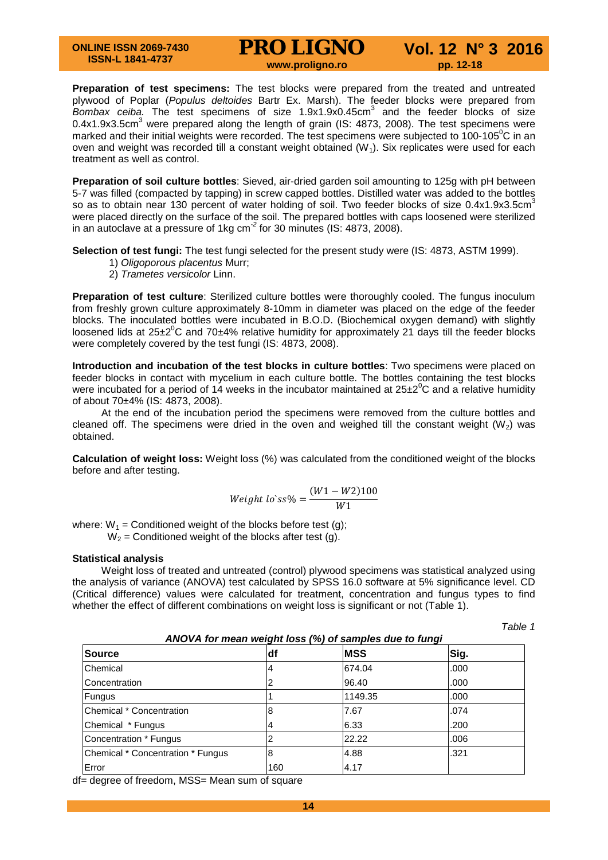# **PRO LIGNO** Vol. 12 N° 3 2016

**Preparation of test specimens:** The test blocks were prepared from the treated and untreated plywood of Poplar (*Populus deltoides* Bartr Ex. Marsh). The feeder blocks were prepared from *Bombax ceiba.* The test specimens of size 1.9x1.9x0.45cm<sup>3</sup> and the feeder blocks of size 0.4x1.9x3.5cm<sup>3</sup> were prepared along the length of grain (IS: 4873, 2008). The test specimens were marked and their initial weights were recorded. The test specimens were subjected to 100-105 $^0$ C in an oven and weight was recorded till a constant weight obtained  $(W<sub>1</sub>)$ . Six replicates were used for each treatment as well as control.

**Preparation of soil culture bottles**: Sieved, air-dried garden soil amounting to 125g with pH between 5-7 was filled (compacted by tapping) in screw capped bottles. Distilled water was added to the bottles so as to obtain near 130 percent of water holding of soil. Two feeder blocks of size  $0.4x1.9x3.5cm<sup>3</sup>$ were placed directly on the surface of the soil. The prepared bottles with caps loosened were sterilized in an autoclave at a pressure of 1kg cm-*<sup>2</sup>* for 30 minutes (IS: 4873, 2008).

**Selection of test fungi:** The test fungi selected for the present study were (IS: 4873, ASTM 1999).

- 1) *Oligoporous placentus* Murr;
- 2) *Trametes versicolor* Linn.

**Preparation of test culture**: Sterilized culture bottles were thoroughly cooled. The fungus inoculum from freshly grown culture approximately 8-10mm in diameter was placed on the edge of the feeder blocks. The inoculated bottles were incubated in B.O.D. (Biochemical oxygen demand) with slightly loosened lids at 25 $\pm 2^0$ C and 70 $\pm 4\%$  relative humidity for approximately 21 days till the feeder blocks were completely covered by the test fungi (IS: 4873, 2008).

**Introduction and incubation of the test blocks in culture bottles**: Two specimens were placed on feeder blocks in contact with mycelium in each culture bottle. The bottles containing the test blocks were incubated for a period of 14 weeks in the incubator maintained at  $25\pm2^0C$  and a relative humidity of about 70±4% (IS: 4873, 2008).

At the end of the incubation period the specimens were removed from the culture bottles and cleaned off. The specimens were dried in the oven and weighed till the constant weight (W<sub>2</sub>) was obtained.

**Calculation of weight loss:** Weight loss (%) was calculated from the conditioned weight of the blocks before and after testing.

$$
Weight \, lo \, ss\% = \frac{(W1 - W2)100}{W1}
$$

where:  $W_1$  = Conditioned weight of the blocks before test (g);  $W_2$  = Conditioned weight of the blocks after test (g).

#### **Statistical analysis**

Weight loss of treated and untreated (control) plywood specimens was statistical analyzed using the analysis of variance (ANOVA) test calculated by SPSS 16.0 software at 5% significance level. CD (Critical difference) values were calculated for treatment, concentration and fungus types to find whether the effect of different combinations on weight loss is significant or not (Table 1).

*Table 1*

| ANOVA for mean weight loss (%) of samples due to fungi |     |            |      |  |  |  |
|--------------------------------------------------------|-----|------------|------|--|--|--|
| <b>Source</b>                                          | ldf | <b>MSS</b> | Sig. |  |  |  |
| Chemical                                               |     | 674.04     | .000 |  |  |  |
| Concentration                                          |     | 96.40      | .000 |  |  |  |
| Fungus                                                 |     | 1149.35    | .000 |  |  |  |
| <b>IChemical * Concentration</b>                       | 8   | 7.67       | .074 |  |  |  |
| Chemical * Fungus                                      |     | 6.33       | .200 |  |  |  |
| Concentration * Fungus                                 |     | 22.22      | .006 |  |  |  |
| Chemical * Concentration * Fungus                      | 8   | 4.88       | .321 |  |  |  |
| Error                                                  | 160 | 4.17       |      |  |  |  |

df= degree of freedom, MSS= Mean sum of square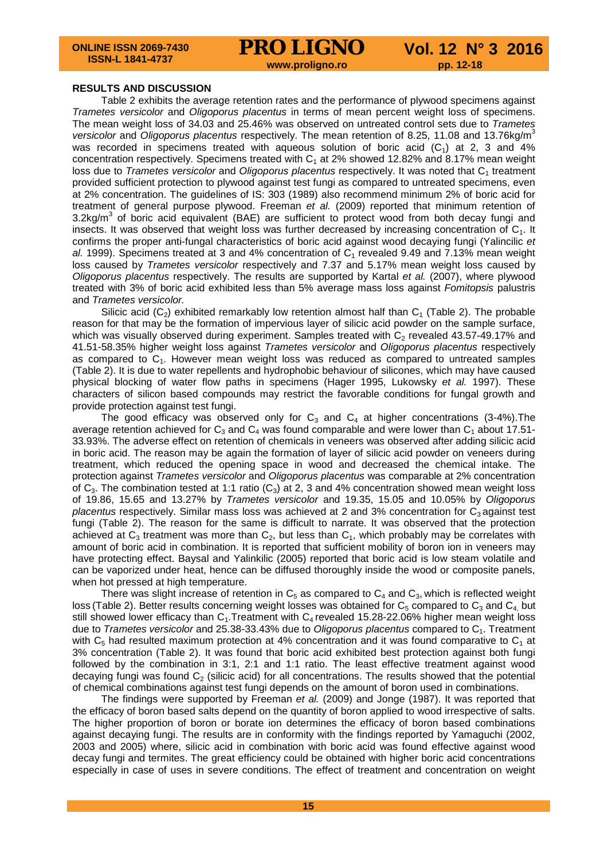**PRO LIGNO** Vol. 12 N° 3 2016

#### **RESULTS AND DISCUSSION**

Table 2 exhibits the average retention rates and the performance of plywood specimens against *Trametes versicolor* and *Oligoporus placentus* in terms of mean percent weight loss of specimens. The mean weight loss of 34.03 and 25.46% was observed on untreated control sets due to *Trametes versicolor* and *Oligoporus placentus* respectively. The mean retention of 8.25, 11.08 and 13.76kg/m<sup>3</sup> was recorded in specimens treated with aqueous solution of boric acid  $(C_1)$  at 2, 3 and 4% concentration respectively. Specimens treated with  $C_1$  at 2% showed 12.82% and 8.17% mean weight loss due to *Trametes versicolor* and *Oligoporus placentus* respectively. It was noted that C<sub>1</sub> treatment provided sufficient protection to plywood against test fungi as compared to untreated specimens, even at 2% concentration. The guidelines of IS: 303 (1989) also recommend minimum 2% of boric acid for treatment of general purpose plywood. Freeman *et al.* (2009) reported that minimum retention of 3.2kg/ $m<sup>3</sup>$  of boric acid equivalent (BAE) are sufficient to protect wood from both decay fungi and insects. It was observed that weight loss was further decreased by increasing concentration of  $C_1$ . It confirms the proper anti-fungal characteristics of boric acid against wood decaying fungi (Yalincilic *et*   $al.$  1999). Specimens treated at 3 and 4% concentration of  $C_1$  revealed 9.49 and 7.13% mean weight loss caused by *Trametes versicolor* respectively and 7.37 and 5.17% mean weight loss caused by *Oligoporus placentus* respectively. The results are supported by Kartal *et al.* (2007), where plywood treated with 3% of boric acid exhibited less than 5% average mass loss against *Fomitopsis* palustris and *Trametes versicolor.*

Silicic acid ( $C_2$ ) exhibited remarkably low retention almost half than  $C_1$  (Table 2). The probable reason for that may be the formation of impervious layer of silicic acid powder on the sample surface, which was visually observed during experiment. Samples treated with  $C_2$  revealed 43.57-49.17% and 41.51-58.35% higher weight loss against *Trametes versicolor* and *Oligoporus placentus* respectively as compared to  $C_1$ . However mean weight loss was reduced as compared to untreated samples (Table 2). It is due to water repellents and hydrophobic behaviour of silicones, which may have caused physical blocking of water flow paths in specimens (Hager 1995, Lukowsky *et al.* 1997). These characters of silicon based compounds may restrict the favorable conditions for fungal growth and provide protection against test fungi.

The good efficacy was observed only for  $C_3$  and  $C_4$  at higher concentrations (3-4%). The average retention achieved for  $C_3$  and  $C_4$  was found comparable and were lower than  $C_1$  about 17.51-33.93%. The adverse effect on retention of chemicals in veneers was observed after adding silicic acid in boric acid. The reason may be again the formation of layer of silicic acid powder on veneers during treatment, which reduced the opening space in wood and decreased the chemical intake. The protection against *Trametes versicolor* and *Oligoporus placentus* was comparable at 2% concentration of  $C_3$ . The combination tested at 1:1 ratio  $(C_3)$  at 2, 3 and 4% concentration showed mean weight loss of 19.86, 15.65 and 13.27% by *Trametes versicolor* and 19.35, 15.05 and 10.05% by *Oligoporus placentus respectively. Similar mass loss was achieved at 2 and 3% concentration for C<sub>3</sub> against test* fungi (Table 2). The reason for the same is difficult to narrate. It was observed that the protection achieved at  $C_3$  treatment was more than  $C_2$ , but less than  $C_1$ , which probably may be correlates with amount of boric acid in combination. It is reported that sufficient mobility of boron ion in veneers may have protecting effect. Baysal and Yalinkilic (2005) reported that boric acid is low steam volatile and can be vaporized under heat, hence can be diffused thoroughly inside the wood or composite panels, when hot pressed at high temperature.

There was slight increase of retention in  $C_5$  as compared to  $C_4$  and  $C_3$ , which is reflected weight loss (Table 2). Better results concerning weight losses was obtained for  $C_5$  compared to  $C_3$  and  $C_4$  but still showed lower efficacy than  $C_1$ . Treatment with  $C_4$  revealed 15.28-22.06% higher mean weight loss due to *Trametes versicolor* and 25.38-33.43% due to *Oligoporus placentus* compared to C1. Treatment with  $C_5$  had resulted maximum protection at 4% concentration and it was found comparative to  $C_1$  at 3% concentration (Table 2). It was found that boric acid exhibited best protection against both fungi followed by the combination in 3:1, 2:1 and 1:1 ratio. The least effective treatment against wood decaying fungi was found  $C_2$  (silicic acid) for all concentrations. The results showed that the potential of chemical combinations against test fungi depends on the amount of boron used in combinations.

The findings were supported by Freeman *et al.* (2009) and Jonge (1987). It was reported that the efficacy of boron based salts depend on the quantity of boron applied to wood irrespective of salts. The higher proportion of boron or borate ion determines the efficacy of boron based combinations against decaying fungi. The results are in conformity with the findings reported by Yamaguchi (2002, 2003 and 2005) where, silicic acid in combination with boric acid was found effective against wood decay fungi and termites. The great efficiency could be obtained with higher boric acid concentrations especially in case of uses in severe conditions. The effect of treatment and concentration on weight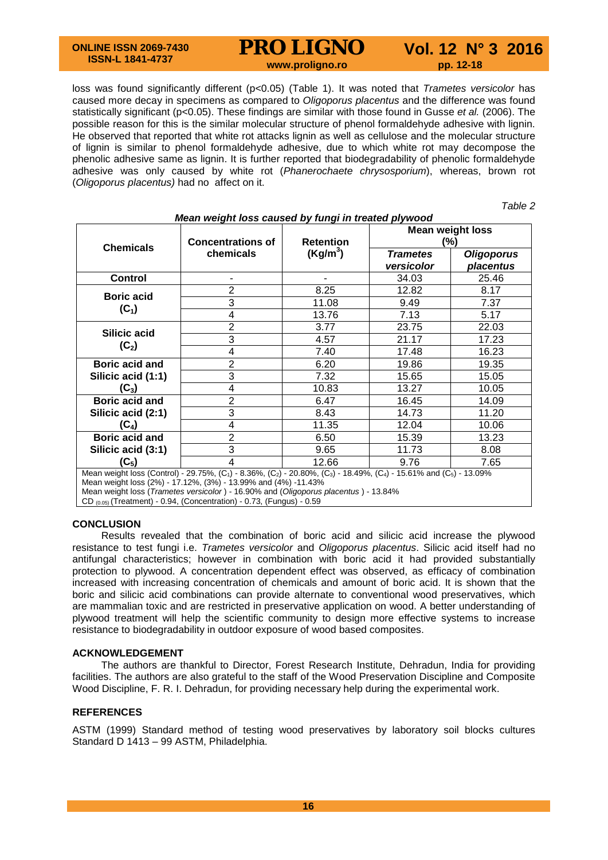#### **ONLINE ISSN 2069-7430 ISSN-L 1841-4737**

**PRO LIGNO** Vol. 12 N° 3 2016

loss was found significantly different (p<0.05) (Table 1). It was noted that *Trametes versicolor* has caused more decay in specimens as compared to *Oligoporus placentus* and the difference was found statistically significant (p<0.05). These findings are similar with those found in Gusse *et al.* (2006). The possible reason for this is the similar molecular structure of phenol formaldehyde adhesive with lignin. He observed that reported that white rot attacks lignin as well as cellulose and the molecular structure of lignin is similar to phenol formaldehyde adhesive, due to which white rot may decompose the phenolic adhesive same as lignin. It is further reported that biodegradability of phenolic formaldehyde adhesive was only caused by white rot (*Phanerochaete chrysosporium*), whereas, brown rot (*Oligoporus placentus)* had no affect on it.

*Table 2*

| Mean weight loss caused by fungi in treated plywood                                                                                                                                                                                                                                                                                        |                                       |                                          |                                |                                |  |  |
|--------------------------------------------------------------------------------------------------------------------------------------------------------------------------------------------------------------------------------------------------------------------------------------------------------------------------------------------|---------------------------------------|------------------------------------------|--------------------------------|--------------------------------|--|--|
| <b>Chemicals</b>                                                                                                                                                                                                                                                                                                                           | <b>Concentrations of</b><br>chemicals | <b>Retention</b><br>(Kg/m <sup>3</sup> ) | <b>Mean weight loss</b><br>(%) |                                |  |  |
|                                                                                                                                                                                                                                                                                                                                            |                                       |                                          | <b>Trametes</b><br>versicolor  | <b>Oligoporus</b><br>placentus |  |  |
| <b>Control</b>                                                                                                                                                                                                                                                                                                                             |                                       |                                          | 34.03                          | 25.46                          |  |  |
| <b>Boric acid</b><br>$(C_1)$                                                                                                                                                                                                                                                                                                               | $\overline{2}$                        | 8.25                                     | 12.82                          | 8.17                           |  |  |
|                                                                                                                                                                                                                                                                                                                                            | 3                                     | 11.08                                    | 9.49                           | 7.37                           |  |  |
|                                                                                                                                                                                                                                                                                                                                            | 4                                     | 13.76                                    | 7.13                           | 5.17                           |  |  |
| Silicic acid<br>$(C_2)$                                                                                                                                                                                                                                                                                                                    | 2                                     | 3.77                                     | 23.75                          | 22.03                          |  |  |
|                                                                                                                                                                                                                                                                                                                                            | 3                                     | 4.57                                     | 21.17                          | 17.23                          |  |  |
|                                                                                                                                                                                                                                                                                                                                            | 4                                     | 7.40                                     | 17.48                          | 16.23                          |  |  |
| Boric acid and                                                                                                                                                                                                                                                                                                                             | $\overline{2}$                        | 6.20                                     | 19.86                          | 19.35                          |  |  |
| Silicic acid (1:1)                                                                                                                                                                                                                                                                                                                         | 3                                     | 7.32                                     | 15.65                          | 15.05                          |  |  |
| $(C_3)$                                                                                                                                                                                                                                                                                                                                    | 4                                     | 10.83                                    | 13.27                          | 10.05                          |  |  |
| Boric acid and                                                                                                                                                                                                                                                                                                                             | $\overline{2}$                        | 6.47                                     | 16.45                          | 14.09                          |  |  |
| Silicic acid (2:1)                                                                                                                                                                                                                                                                                                                         | 3                                     | 8.43                                     | 14.73                          | 11.20                          |  |  |
| $(C_4)$                                                                                                                                                                                                                                                                                                                                    | 4                                     | 11.35                                    | 12.04                          | 10.06                          |  |  |
| Boric acid and                                                                                                                                                                                                                                                                                                                             | $\overline{2}$                        | 6.50                                     | 15.39                          | 13.23                          |  |  |
| Silicic acid (3:1)                                                                                                                                                                                                                                                                                                                         | 3                                     | 9.65                                     | 11.73                          | 8.08                           |  |  |
| $(C_5)$                                                                                                                                                                                                                                                                                                                                    | 4                                     | 12.66                                    | 9.76                           | 7.65                           |  |  |
| Mean weight loss (Control) - 29.75%, (C <sub>1</sub> ) - 8.36%, (C <sub>2</sub> ) - 20.80%, (C <sub>3</sub> ) - 18.49%, (C <sub>4</sub> ) - 15.61% and (C <sub>5</sub> ) - 13.09%<br>Mean weight loss (2%) - 17.12%, (3%) - 13.99% and (4%) -11.43%<br>Mean weight loss (Trametes versicolor) - 16.90% and (Oligoporus placentus) - 13.84% |                                       |                                          |                                |                                |  |  |

Mean weight loss (*Trametes versicolor* ) - 16.90% and (*Oligoporus placentus* ) - 13.84%

CD (0.05) (Treatment) - 0.94, (Concentration) - 0.73, (Fungus) - 0.59

#### **CONCLUSION**

Results revealed that the combination of boric acid and silicic acid increase the plywood resistance to test fungi i.e. *Trametes versicolor* and *Oligoporus placentus*. Silicic acid itself had no antifungal characteristics; however in combination with boric acid it had provided substantially protection to plywood. A concentration dependent effect was observed, as efficacy of combination increased with increasing concentration of chemicals and amount of boric acid. It is shown that the boric and silicic acid combinations can provide alternate to conventional wood preservatives, which are mammalian toxic and are restricted in preservative application on wood. A better understanding of plywood treatment will help the scientific community to design more effective systems to increase resistance to biodegradability in outdoor exposure of wood based composites.

#### **ACKNOWLEDGEMENT**

The authors are thankful to Director, Forest Research Institute, Dehradun, India for providing facilities. The authors are also grateful to the staff of the Wood Preservation Discipline and Composite Wood Discipline, F. R. I. Dehradun, for providing necessary help during the experimental work.

### **REFERENCES**

ASTM (1999) Standard method of testing wood preservatives by laboratory soil blocks cultures Standard D 1413 – 99 ASTM, Philadelphia.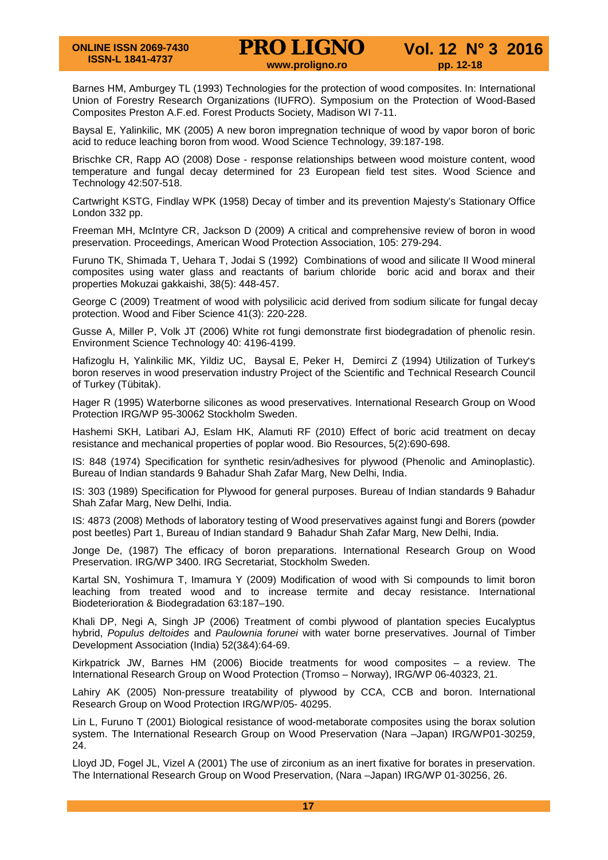Barnes HM, Amburgey TL (1993) Technologies for the protection of wood composites. In: International Union of Forestry Research Organizations (IUFRO). Symposium on the Protection of Wood-Based Composites Preston A.F.ed. Forest Products Society, Madison WI 7-11.

Baysal E, Yalinkilic, MK (2005) A new boron impregnation technique of wood by vapor boron of boric acid to reduce leaching boron from wood. Wood Science Technology, 39:187-198.

Brischke CR, Rapp AO (2008) Dose - response relationships between wood moisture content, wood temperature and fungal decay determined for 23 European field test sites. Wood Science and Technology 42:507-518.

Cartwright KSTG, Findlay WPK (1958) Decay of timber and its prevention Majesty's Stationary Office London 332 pp.

Freeman MH, McIntyre CR, Jackson D (2009) A critical and comprehensive review of boron in wood preservation. Proceedings, American Wood Protection Association, 105: 279-294.

Furuno TK, Shimada T, Uehara T, Jodai S (1992) Combinations of wood and silicate II Wood mineral composites using water glass and reactants of barium chloride boric acid and borax and their properties Mokuzai gakkaishi, 38(5): 448-457.

George C (2009) Treatment of wood with polysilicic acid derived from sodium silicate for fungal decay protection. Wood and Fiber Science 41(3): 220-228.

Gusse A, Miller P, Volk JT (2006) White rot fungi demonstrate first biodegradation of phenolic resin. Environment Science Technology 40: 4196-4199.

Hafizoglu H, Yalinkilic MK, Yildiz UC, Baysal E, Peker H, Demirci Z (1994) Utilization of Turkey's boron reserves in wood preservation industry Project of the Scientific and Technical Research Council of Turkey (Tübitak).

Hager R (1995) Waterborne silicones as wood preservatives. International Research Group on Wood Protection IRG/WP 95-30062 Stockholm Sweden.

Hashemi SKH, Latibari AJ, Eslam HK, Alamuti RF (2010) Effect of boric acid treatment on decay resistance and mechanical properties of poplar wood. Bio Resources, 5(2):690-698.

IS: 848 (1974) Specification for synthetic resin*/*adhesives for plywood (Phenolic and Aminoplastic)*.*  Bureau of Indian standards 9 Bahadur Shah Zafar Marg, New Delhi, India.

IS: 303 (1989) Specification for Plywood for general purposes. Bureau of Indian standards 9 Bahadur Shah Zafar Marg, New Delhi, India.

IS: 4873 (2008) Methods of laboratory testing of Wood preservatives against fungi and Borers (powder post beetles) Part 1, Bureau of Indian standard 9 Bahadur Shah Zafar Marg, New Delhi, India.

Jonge De, (1987) The efficacy of boron preparations. International Research Group on Wood Preservation. IRG/WP 3400. IRG Secretariat, Stockholm Sweden.

Kartal SN, Yoshimura T, Imamura Y (2009) Modification of wood with Si compounds to limit boron leaching from treated wood and to increase termite and decay resistance. International Biodeterioration & Biodegradation 63:187–190.

Khali DP, Negi A, Singh JP (2006) Treatment of combi plywood of plantation species Eucalyptus hybrid, *Populus deltoides* and *Paulownia forunei* with water borne preservatives. Journal of Timber Development Association (India) 52(3&4):64-69.

Kirkpatrick JW, Barnes HM (2006) Biocide treatments for wood composites – a review. The International Research Group on Wood Protection (Tromso – Norway), IRG/WP 06-40323, 21.

Lahiry AK (2005) Non-pressure treatability of plywood by CCA, CCB and boron. International Research Group on Wood Protection IRG/WP/05- 40295.

Lin L, Furuno T (2001) Biological resistance of wood-metaborate composites using the borax solution system. The International Research Group on Wood Preservation (Nara –Japan) IRG/WP01-30259, 24.

Lloyd JD, Fogel JL, Vizel A (2001) The use of zirconium as an inert fixative for borates in preservation. The International Research Group on Wood Preservation, (Nara –Japan) IRG/WP 01-30256, 26.